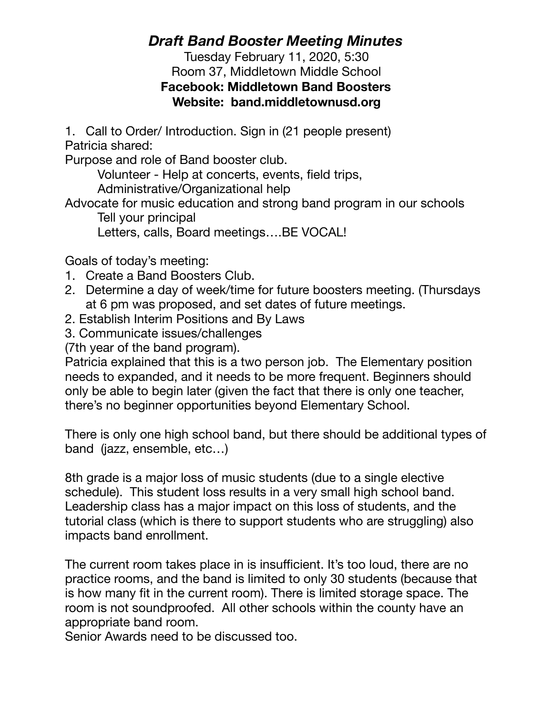## *Draft Band Booster Meeting Minutes*

Tuesday February 11, 2020, 5:30 Room 37, Middletown Middle School

## **Facebook: Middletown Band Boosters**

## **Website: band.middletownusd.org**

1. Call to Order/ Introduction. Sign in (21 people present) Patricia shared:

Purpose and role of Band booster club.

Volunteer - Help at concerts, events, field trips,

Administrative/Organizational help

Advocate for music education and strong band program in our schools Tell your principal

Letters, calls, Board meetings….BE VOCAL!

Goals of today's meeting:

- 1. Create a Band Boosters Club.
- 2. Determine a day of week/time for future boosters meeting. (Thursdays at 6 pm was proposed, and set dates of future meetings.
- 2. Establish Interim Positions and By Laws
- 3. Communicate issues/challenges

(7th year of the band program).

Patricia explained that this is a two person job. The Elementary position needs to expanded, and it needs to be more frequent. Beginners should only be able to begin later (given the fact that there is only one teacher, there's no beginner opportunities beyond Elementary School.

There is only one high school band, but there should be additional types of band (jazz, ensemble, etc…)

8th grade is a major loss of music students (due to a single elective schedule). This student loss results in a very small high school band. Leadership class has a major impact on this loss of students, and the tutorial class (which is there to support students who are struggling) also impacts band enrollment.

The current room takes place in is insufficient. It's too loud, there are no practice rooms, and the band is limited to only 30 students (because that is how many fit in the current room). There is limited storage space. The room is not soundproofed. All other schools within the county have an appropriate band room.

Senior Awards need to be discussed too.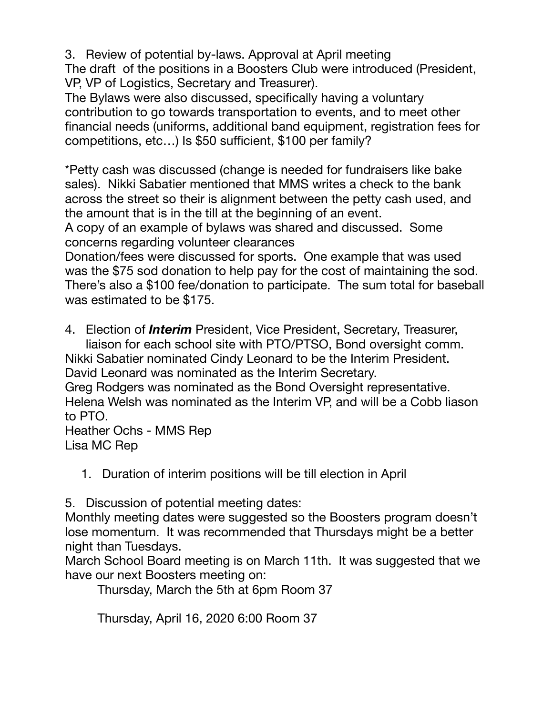3. Review of potential by-laws. Approval at April meeting The draft of the positions in a Boosters Club were introduced (President, VP, VP of Logistics, Secretary and Treasurer).

The Bylaws were also discussed, specifically having a voluntary contribution to go towards transportation to events, and to meet other financial needs (uniforms, additional band equipment, registration fees for competitions, etc…) Is \$50 sufficient, \$100 per family?

\*Petty cash was discussed (change is needed for fundraisers like bake sales). Nikki Sabatier mentioned that MMS writes a check to the bank across the street so their is alignment between the petty cash used, and the amount that is in the till at the beginning of an event.

A copy of an example of bylaws was shared and discussed. Some concerns regarding volunteer clearances

Donation/fees were discussed for sports. One example that was used was the \$75 sod donation to help pay for the cost of maintaining the sod. There's also a \$100 fee/donation to participate. The sum total for baseball was estimated to be \$175.

4. Election of *Interim* President, Vice President, Secretary, Treasurer, liaison for each school site with PTO/PTSO, Bond oversight comm. Nikki Sabatier nominated Cindy Leonard to be the Interim President. David Leonard was nominated as the Interim Secretary.

Greg Rodgers was nominated as the Bond Oversight representative. Helena Welsh was nominated as the Interim VP, and will be a Cobb liason to PTO.

Heather Ochs - MMS Rep Lisa MC Rep

1. Duration of interim positions will be till election in April

5. Discussion of potential meeting dates:

Monthly meeting dates were suggested so the Boosters program doesn't lose momentum. It was recommended that Thursdays might be a better night than Tuesdays.

March School Board meeting is on March 11th. It was suggested that we have our next Boosters meeting on:

Thursday, March the 5th at 6pm Room 37

Thursday, April 16, 2020 6:00 Room 37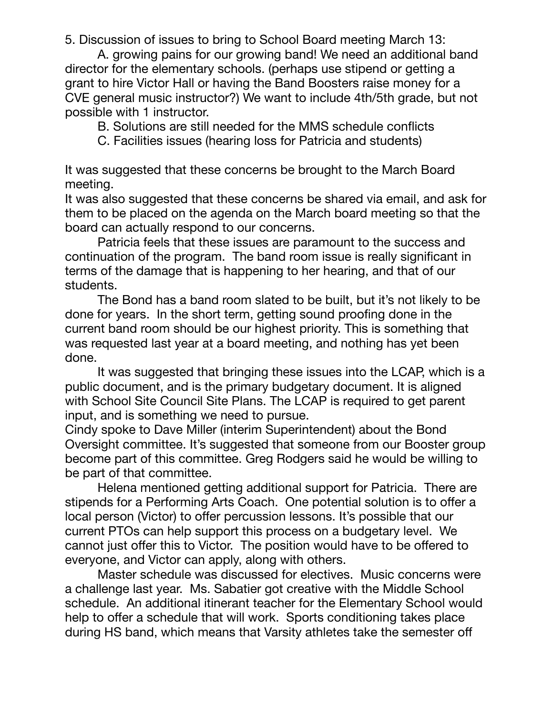5. Discussion of issues to bring to School Board meeting March 13:

A. growing pains for our growing band! We need an additional band director for the elementary schools. (perhaps use stipend or getting a grant to hire Victor Hall or having the Band Boosters raise money for a CVE general music instructor?) We want to include 4th/5th grade, but not possible with 1 instructor.

B. Solutions are still needed for the MMS schedule conflicts

C. Facilities issues (hearing loss for Patricia and students)

It was suggested that these concerns be brought to the March Board meeting.

It was also suggested that these concerns be shared via email, and ask for them to be placed on the agenda on the March board meeting so that the board can actually respond to our concerns.

Patricia feels that these issues are paramount to the success and continuation of the program. The band room issue is really significant in terms of the damage that is happening to her hearing, and that of our students.

The Bond has a band room slated to be built, but it's not likely to be done for years. In the short term, getting sound proofing done in the current band room should be our highest priority. This is something that was requested last year at a board meeting, and nothing has yet been done.

It was suggested that bringing these issues into the LCAP, which is a public document, and is the primary budgetary document. It is aligned with School Site Council Site Plans. The LCAP is required to get parent input, and is something we need to pursue.

Cindy spoke to Dave Miller (interim Superintendent) about the Bond Oversight committee. It's suggested that someone from our Booster group become part of this committee. Greg Rodgers said he would be willing to be part of that committee.

Helena mentioned getting additional support for Patricia. There are stipends for a Performing Arts Coach. One potential solution is to offer a local person (Victor) to offer percussion lessons. It's possible that our current PTOs can help support this process on a budgetary level. We cannot just offer this to Victor. The position would have to be offered to everyone, and Victor can apply, along with others.

Master schedule was discussed for electives. Music concerns were a challenge last year. Ms. Sabatier got creative with the Middle School schedule. An additional itinerant teacher for the Elementary School would help to offer a schedule that will work. Sports conditioning takes place during HS band, which means that Varsity athletes take the semester off